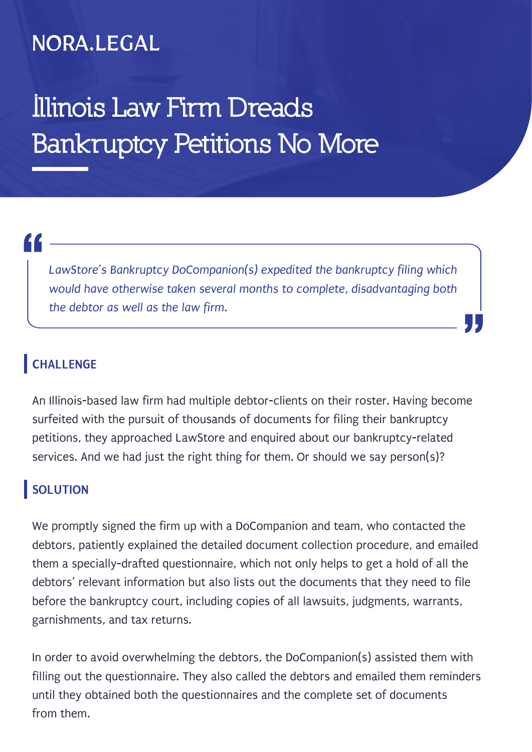### NORA.LEGAL

## **Illinois Law Firm Dreads Bankruptcy Petitions No More**

# "<br>|<br>|

*LawStore's Bankruptcy DoCompanion(s) expedited the bankruptcy filing which would have otherwise taken several months to complete, disadvantaging both the debtor as well as the law firm.*

"

#### **CHALLENGE**

An Illinois-based law firm had multiple debtor-clients on their roster. Having become surfeited with the pursuit of thousands of documents for filing their bankruptcy petitions, they approached LawStore and enquired about our bankruptcy-related services. And we had just the right thing for them. Or should we say person(s)?

#### **SOLUTION**

We promptly signed the firm up with a DoCompanion and team, who contacted the debtors, patiently explained the detailed document collection procedure, and emailed them a specially-drafted questionnaire, which not only helps to get a hold of all the debtors' relevant information but also lists out the documents that they need to file before the bankruptcy court, including copies of all lawsuits, judgments, warrants, garnishments, and tax returns.

In order to avoid overwhelming the debtors, the DoCompanion(s) assisted them with filling out the questionnaire. They also called the debtors and emailed them reminders until they obtained both the questionnaires and the complete set of documents from them.